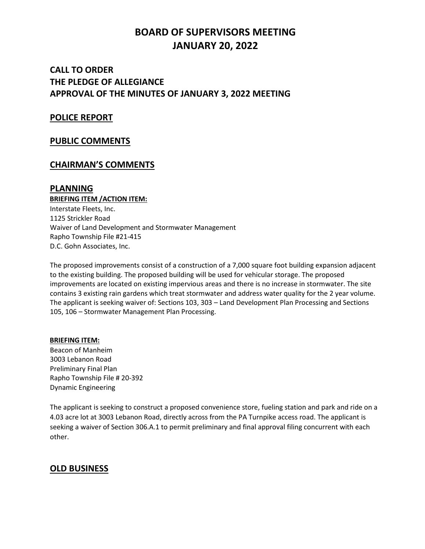# **BOARD OF SUPERVISORS MEETING JANUARY 20, 2022**

# **CALL TO ORDER THE PLEDGE OF ALLEGIANCE APPROVAL OF THE MINUTES OF JANUARY 3, 2022 MEETING**

### **POLICE REPORT**

### **PUBLIC COMMENTS**

## **CHAIRMAN'S COMMENTS**

### **PLANNING**

**BRIEFING ITEM /ACTION ITEM:** Interstate Fleets, Inc. 1125 Strickler Road Waiver of Land Development and Stormwater Management Rapho Township File #21-415 D.C. Gohn Associates, Inc.

The proposed improvements consist of a construction of a 7,000 square foot building expansion adjacent to the existing building. The proposed building will be used for vehicular storage. The proposed improvements are located on existing impervious areas and there is no increase in stormwater. The site contains 3 existing rain gardens which treat stormwater and address water quality for the 2 year volume. The applicant is seeking waiver of: Sections 103, 303 – Land Development Plan Processing and Sections 105, 106 – Stormwater Management Plan Processing.

#### **BRIEFING ITEM:** Beacon of Manheim

3003 Lebanon Road Preliminary Final Plan Rapho Township File # 20-392 Dynamic Engineering

The applicant is seeking to construct a proposed convenience store, fueling station and park and ride on a 4.03 acre lot at 3003 Lebanon Road, directly across from the PA Turnpike access road. The applicant is seeking a waiver of Section 306.A.1 to permit preliminary and final approval filing concurrent with each other.

## **OLD BUSINESS**